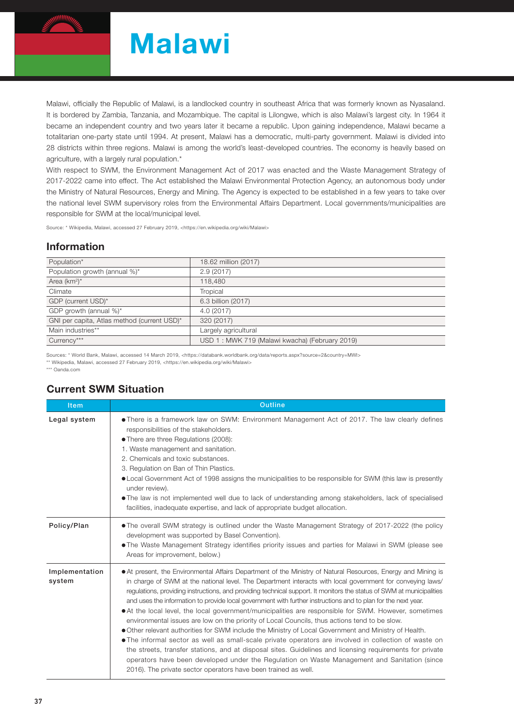

# Malawi

Malawi, officially the Republic of Malawi, is a landlocked country in southeast Africa that was formerly known as Nyasaland. It is bordered by Zambia, Tanzania, and Mozambique. The capital is Lilongwe, which is also Malawi's largest city. In 1964 it became an independent country and two years later it became a republic. Upon gaining independence, Malawi became a totalitarian one-party state until 1994. At present, Malawi has a democratic, multi-party government. Malawi is divided into 28 districts within three regions. Malawi is among the world's least-developed countries. The economy is heavily based on agriculture, with a largely rural population.\*

With respect to SWM, the Environment Management Act of 2017 was enacted and the Waste Management Strategy of 2017-2022 came into effect. The Act established the Malawi Environmental Protection Agency, an autonomous body under the Ministry of Natural Resources, Energy and Mining. The Agency is expected to be established in a few years to take over the national level SWM supervisory roles from the Environmental Affairs Department. Local governments/municipalities are responsible for SWM at the local/municipal level.

Source: \* Wikipedia, Malawi, accessed 27 February 2019, <https://en.wikipedia.org/wiki/Malawi>

#### Information

| Population*                                 | 18.62 million (2017)                           |
|---------------------------------------------|------------------------------------------------|
| Population growth (annual %)*               | 2.9(2017)                                      |
| Area $(km^2)^*$                             | 118,480                                        |
| Climate                                     | Tropical                                       |
| GDP (current USD)*                          | 6.3 billion (2017)                             |
| GDP growth (annual %)*                      | 4.0 (2017)                                     |
| GNI per capita, Atlas method (current USD)* | 320 (2017)                                     |
| Main industries**                           | Largely agricultural                           |
| Currency***                                 | USD 1: MWK 719 (Malawi kwacha) (February 2019) |

Sources: \* World Bank, Malawi, accessed 14 March 2019, <https://databank.worldbank.org/data/reports.aspx?source=2&country=MWI>

\*\* Wikipedia, Malawi, accessed 27 February 2019, <https://en.wikipedia.org/wiki/Malawi>

\*\*\* Oanda.com

### Current SWM Situation

| <b>Item</b>              | <b>Outline</b>                                                                                                                                                                                                                                                                                                                                                                                                                                                                                                                                                                                                                                                                                                                                                                                                                                                                                                                                                                                                                                                                                                                                                                  |  |  |  |  |
|--------------------------|---------------------------------------------------------------------------------------------------------------------------------------------------------------------------------------------------------------------------------------------------------------------------------------------------------------------------------------------------------------------------------------------------------------------------------------------------------------------------------------------------------------------------------------------------------------------------------------------------------------------------------------------------------------------------------------------------------------------------------------------------------------------------------------------------------------------------------------------------------------------------------------------------------------------------------------------------------------------------------------------------------------------------------------------------------------------------------------------------------------------------------------------------------------------------------|--|--|--|--|
| Legal system             | • There is a framework law on SWM: Environment Management Act of 2017. The law clearly defines<br>responsibilities of the stakeholders.<br>• There are three Regulations (2008):<br>1. Waste management and sanitation.<br>2. Chemicals and toxic substances.<br>3. Regulation on Ban of Thin Plastics.<br>• Local Government Act of 1998 assigns the municipalities to be responsible for SWM (this law is presently<br>under review).<br>• The law is not implemented well due to lack of understanding among stakeholders, lack of specialised<br>facilities, inadequate expertise, and lack of appropriate budget allocation.                                                                                                                                                                                                                                                                                                                                                                                                                                                                                                                                               |  |  |  |  |
| Policy/Plan              | . The overall SWM strategy is outlined under the Waste Management Strategy of 2017-2022 (the policy<br>development was supported by Basel Convention).<br>• The Waste Management Strategy identifies priority issues and parties for Malawi in SWM (please see<br>Areas for improvement, below.)                                                                                                                                                                                                                                                                                                                                                                                                                                                                                                                                                                                                                                                                                                                                                                                                                                                                                |  |  |  |  |
| Implementation<br>system | • At present, the Environmental Affairs Department of the Ministry of Natural Resources, Energy and Mining is<br>in charge of SWM at the national level. The Department interacts with local government for conveying laws/<br>regulations, providing instructions, and providing technical support. It monitors the status of SWM at municipalities<br>and uses the information to provide local government with further instructions and to plan for the next year.<br>• At the local level, the local government/municipalities are responsible for SWM. However, sometimes<br>environmental issues are low on the priority of Local Councils, thus actions tend to be slow.<br>• Other relevant authorities for SWM include the Ministry of Local Government and Ministry of Health.<br>• The informal sector as well as small-scale private operators are involved in collection of waste on<br>the streets, transfer stations, and at disposal sites. Guidelines and licensing requirements for private<br>operators have been developed under the Regulation on Waste Management and Sanitation (since<br>2016). The private sector operators have been trained as well. |  |  |  |  |